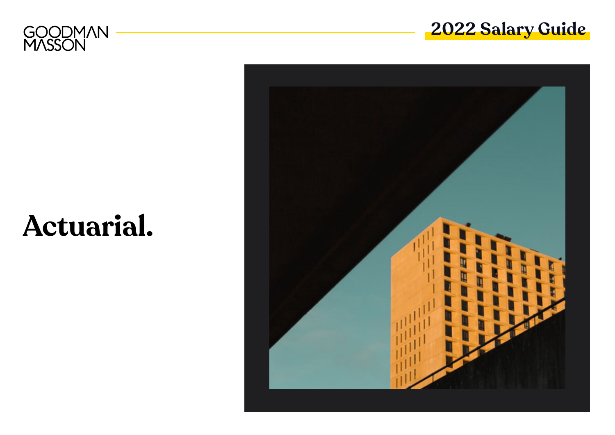



# **Actuarial.**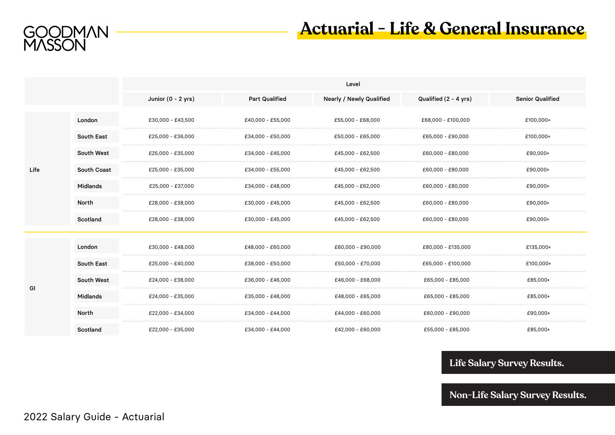

# **Actuarial - Life & General Insurance**

|      |             | Level                |                       |                                 |                       |                         |  |  |  |
|------|-------------|----------------------|-----------------------|---------------------------------|-----------------------|-------------------------|--|--|--|
|      |             | Junior $(0 - 2$ yrs) | <b>Part Qualified</b> | <b>Nearly / Newly Qualified</b> | Qualified (2 - 4 yrs) | <b>Senior Qualified</b> |  |  |  |
| Life | London      | £30,000 - £43,500    | £40,000 - £55,000     | £55,000 - £68,000               | £68,000 - £100,000    | £100,000+               |  |  |  |
|      | South East  | £25,000 - £36,000    | £34,000 - £50,000     | £50,000 - £65,000               | £65,000 - £90,000     | £100,000+               |  |  |  |
|      | South West  | £25,000 - £35,000    | £34,000 - £45,000     | £45,000 - £62,500               | £60,000 - £80,000     | £90,000+                |  |  |  |
|      | South Coast | £25,000 - £35,000    | £34,000 - £55,000     | £45,000 - £62,500               | £60,000 - £80,000     | £90,000+                |  |  |  |
|      | Midlands    | £25,000 - £37,000    | £34,000 - £48,000     | £45,000 - £62,000               | £60,000 - £80,000     | £90,000+                |  |  |  |
|      | North       | £28,000 - £38,000    | £30,000 - £45,000     | £45,000 - £62,500               | £60,000 - £80,000     | £90,000+                |  |  |  |
|      | Scotland    | £28,000 - £38,000    | £30,000 - £45,000     | £45,000 - £62,500               | £60,000 - £80,000     | £90,000+                |  |  |  |
| GI   | London      | £30,000 - £48,000    | £48,000 - £60,000     | £60,000 - £90,000               | £80,000 - £135,000    | £135,000+               |  |  |  |
|      | South East  | £25,000 - £40,000    | £38,000 - £50,000     | £50,000 - £70,000               | £65,000 - £100,000    | £100,000+               |  |  |  |
|      | South West  | £24,000 - £38,000    | £36,000 - £46,000     | £46,000 - £68,000               | £65,000 - £85,000     | £85,000+                |  |  |  |
|      | Midlands    | £24,000 - £35,000    | £35,000 - £48,000     | £48,000 - £65,000               | £65,000 - £85,000     | £85,000+                |  |  |  |
|      | North       | £22,000 - £34,000    | £34,000 - £44,000     | £44,000 - £60,000               | £60,000 - £90,000     | £90,000+                |  |  |  |
|      | Scotland    | £22,000 - £35,000    | £34,000 - £44,000     | £42,000 - £60,000               | £55,000 - £85,000     | £85,000+                |  |  |  |

### **[Life Salary Survey Results.](https://www.goodmanmasson.com/app/uploads/2022/01/Life-Actuarial-Salary-Survey-Results.pdf)**

**[Non-Life Salary Survey Results.](https://www.goodmanmasson.com/app/uploads/2022/01/Non-Life-Actuarial-Salary-Survey-Results.pdf)**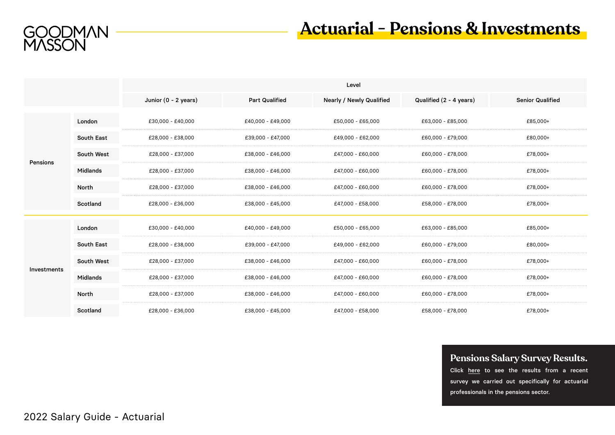

# **Actuarial - Pensions & Investments**

|             |              | Level                |                       |                                 |                         |                         |  |  |
|-------------|--------------|----------------------|-----------------------|---------------------------------|-------------------------|-------------------------|--|--|
|             |              | Junior (0 - 2 years) | <b>Part Qualified</b> | <b>Nearly / Newly Qualified</b> | Qualified (2 - 4 years) | <b>Senior Qualified</b> |  |  |
| Pensions    | London       | £30,000 - £40,000    | £40,000 - £49,000     | £50,000 - £65,000               | £63,000 - £85,000       | £85,000+                |  |  |
|             | South East   | £28,000 - £38,000    | £39,000 - £47,000     | £49,000 - £62,000               | £60,000 - £79,000       | £80,000+                |  |  |
|             | South West   | £28,000 - £37,000    | £38,000 - £46,000     | £47,000 - £60,000               | £60,000 - £78,000       | £78,000+                |  |  |
|             | Midlands     | £28,000 - £37,000    | £38,000 - £46,000     | £47,000 - £60,000               | £60,000 - £78,000       | £78,000+                |  |  |
|             | <b>North</b> | £28,000 - £37,000    | £38,000 - £46,000     | £47,000 - £60,000               | £60,000 - £78,000       | £78,000+                |  |  |
|             | Scotland     | £28,000 - £36,000    | £38,000 - £45,000     | £47,000 - £58,000               | £58,000 - £78,000       | £78,000+                |  |  |
| Investments | London       | £30,000 - £40,000    | £40,000 - £49,000     | £50,000 - £65,000               | £63,000 - £85,000       | £85,000+                |  |  |
|             | South East   | £28,000 - £38,000    | £39,000 - £47,000     | £49,000 - £62,000               | £60,000 - £79,000       | £80,000+                |  |  |
|             | South West   | £28,000 - £37,000    | £38,000 - £46,000     | £47,000 - £60,000               | £60,000 - £78,000       | £78,000+                |  |  |
|             | Midlands     | £28,000 - £37,000    | £38,000 - £46,000     | £47,000 - £60,000               | £60,000 - £78,000       | £78,000+                |  |  |
|             | North        | £28,000 - £37,000    | £38,000 - £46,000     | £47,000 - £60,000               | £60,000 - £78,000       | £78,000+                |  |  |
|             | Scotland     | £28,000 - £36,000    | £38,000 - £45,000     | £47,000 - £58,000               | £58,000 - £78,000       | £78,000+                |  |  |

### **[Pensions Salary Survey Results.](https://www.goodmanmasson.com/app/uploads/2021/09/2021-Pensions-Salary-Survey-Results-1.pdf)**

Click here to see the results from a recent survey we carried out specifically for actuarial professionals in the pensions sector.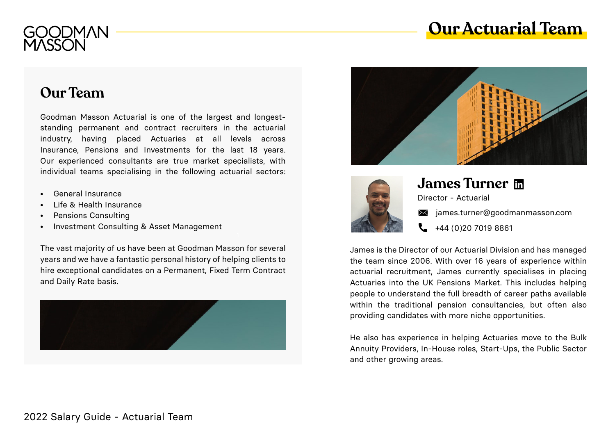



# **Our Team**

Goodman Masson Actuarial is one of the largest and longeststanding permanent and contract recruiters in the actuarial industry, having placed Actuaries at all levels across Insurance, Pensions and Investments for the last 18 years. Our experienced consultants are true market specialists, with individual teams specialising in the following actuarial sectors:

- General Insurance
- Life & Health Insurance
- Pensions Consulting
- Investment Consulting & Asset Management

The vast majority of us have been at Goodman Masson for several years and we have a fantastic personal history of helping clients to hire exceptional candidates on a Permanent, Fixed Term Contract and Daily Rate basis.







# **James Turne[r](https://www.linkedin.com/in/jamescturner/)**

Director - Actuarial

- $\mathbb{\times}$  james.turne[r@goodmanmasson.com](mailto:james.turner%40goodmanmasson.com?subject=)
- +44 (0)20 7019 8861

James is the Director of our Actuarial Division and has managed the team since 2006. With over 16 years of experience within actuarial recruitment, James currently specialises in placing Actuaries into the UK Pensions Market. This includes helping people to understand the full breadth of career paths available within the traditional pension consultancies, but often also providing candidates with more niche opportunities.

He also has experience in helping Actuaries move to the Bulk Annuity Providers, In-House roles, Start-Ups, the Public Sector and other growing areas.